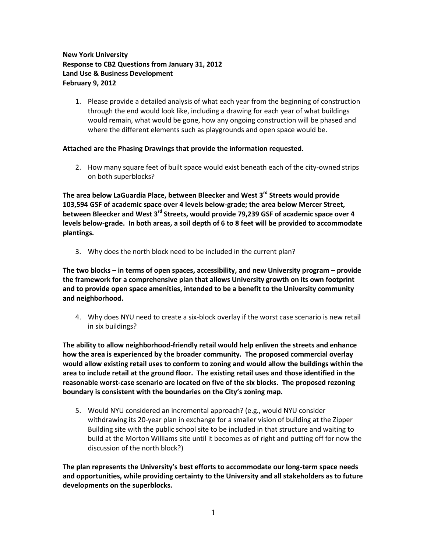## **New York University Response to CB2 Questions from January 31, 2012 Land Use & Business Development February 9, 2012**

1. Please provide a detailed analysis of what each year from the beginning of construction through the end would look like, including a drawing for each year of what buildings would remain, what would be gone, how any ongoing construction will be phased and where the different elements such as playgrounds and open space would be.

## **Attached are the Phasing Drawings that provide the information requested.**

2. How many square feet of built space would exist beneath each of the city-owned strips on both superblocks?

**The area below LaGuardia Place, between Bleecker and West 3rd Streets would provide 103,594 GSF of academic space over 4 levels below-grade; the area below Mercer Street, between Bleecker and West 3rd Streets, would provide 79,239 GSF of academic space over 4 levels below-grade. In both areas, a soil depth of 6 to 8 feet will be provided to accommodate plantings.**

3. Why does the north block need to be included in the current plan?

**The two blocks – in terms of open spaces, accessibility, and new University program – provide the framework for a comprehensive plan that allows University growth on its own footprint and to provide open space amenities, intended to be a benefit to the University community and neighborhood.**

4. Why does NYU need to create a six-block overlay if the worst case scenario is new retail in six buildings?

**The ability to allow neighborhood-friendly retail would help enliven the streets and enhance how the area is experienced by the broader community. The proposed commercial overlay would allow existing retail uses to conform to zoning and would allow the buildings within the area to include retail at the ground floor. The existing retail uses and those identified in the reasonable worst-case scenario are located on five of the six blocks. The proposed rezoning boundary is consistent with the boundaries on the City's zoning map.**

5. Would NYU considered an incremental approach? (e.g., would NYU consider withdrawing its 20-year plan in exchange for a smaller vision of building at the Zipper Building site with the public school site to be included in that structure and waiting to build at the Morton Williams site until it becomes as of right and putting off for now the discussion of the north block?)

**The plan represents the University's best efforts to accommodate our long-term space needs and opportunities, while providing certainty to the University and all stakeholders as to future developments on the superblocks.**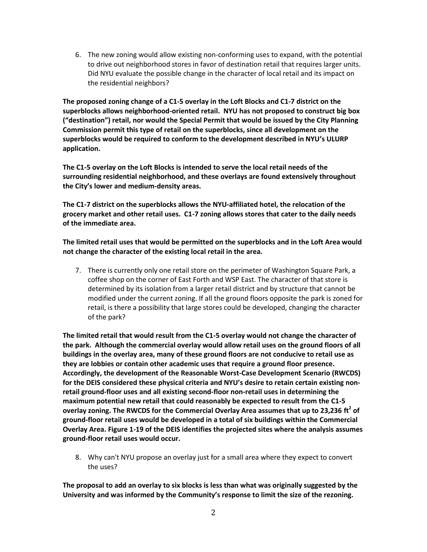6. The new zoning would allow existing non-conforming uses to expand, with the potential to drive out neighborhood stores in favor of destination retail that requires larger units. Did NYU evaluate the possible change in the character of local retail and its impact on the residential neighbors?

**The proposed zoning change of a C1-5 overlay in the Loft Blocks and C1-7 district on the superblocks allows neighborhood-oriented retail. NYU has not proposed to construct big box ("destination") retail, nor would the Special Permit that would be issued by the City Planning Commission permit this type of retail on the superblocks, since all development on the superblocks would be required to conform to the development described in NYU's ULURP application.**

**The C1-5 overlay on the Loft Blocks is intended to serve the local retail needs of the surrounding residential neighborhood, and these overlays are found extensively throughout the City's lower and medium-density areas.**

**The C1-7 district on the superblocks allows the NYU-affiliated hotel, the relocation of the grocery market and other retail uses. C1-7 zoning allows stores that cater to the daily needs of the immediate area.**

**The limited retail uses that would be permitted on the superblocks and in the Loft Area would not change the character of the existing local retail in the area.**

7. There is currently only one retail store on the perimeter of Washington Square Park, a coffee shop on the corner of East Forth and WSP East. The character of that store is determined by its isolation from a larger retail district and by structure that cannot be modified under the current zoning. If all the ground floors opposite the park is zoned for retail, is there a possibility that large stores could be developed, changing the character of the park?

**The limited retail that would result from the C1-5 overlay would not change the character of the park. Although the commercial overlay would allow retail uses on the ground floors of all buildings in the overlay area, many of these ground floors are not conducive to retail use as they are lobbies or contain other academic uses that require a ground floor presence. Accordingly, the development of the Reasonable Worst-Case Development Scenario (RWCDS) for the DEIS considered these physical criteria and NYU's desire to retain certain existing nonretail ground-floor uses and all existing second-floor non-retail uses in determining the maximum potential new retail that could reasonably be expected to result from the C1-5 overlay zoning. The RWCDS for the Commercial Overlay Area assumes that up to 23,236 ft<sup>2</sup> of ground-floor retail uses would be developed in a total of six buildings within the Commercial Overlay Area. Figure 1-19 of the DEIS identifies the projected sites where the analysis assumes ground-floor retail uses would occur.**

8. Why can't NYU propose an overlay just for a small area where they expect to convert the uses?

**The proposal to add an overlay to six blocks is less than what was originally suggested by the University and was informed by the Community's response to limit the size of the rezoning.**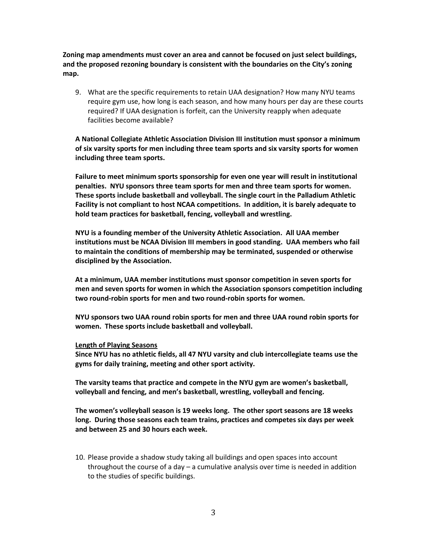**Zoning map amendments must cover an area and cannot be focused on just select buildings, and the proposed rezoning boundary is consistent with the boundaries on the City's zoning map.**

9. What are the specific requirements to retain UAA designation? How many NYU teams require gym use, how long is each season, and how many hours per day are these courts required? If UAA designation is forfeit, can the University reapply when adequate facilities become available?

**A National Collegiate Athletic Association Division III institution must sponsor a minimum of six varsity sports for men including three team sports and six varsity sports for women including three team sports.**

**Failure to meet minimum sports sponsorship for even one year will result in institutional penalties. NYU sponsors three team sports for men and three team sports for women. These sports include basketball and volleyball. The single court in the Palladium Athletic Facility is not compliant to host NCAA competitions. In addition, it is barely adequate to hold team practices for basketball, fencing, volleyball and wrestling.** 

**NYU is a founding member of the University Athletic Association. All UAA member institutions must be NCAA Division III members in good standing. UAA members who fail to maintain the conditions of membership may be terminated, suspended or otherwise disciplined by the Association.** 

**At a minimum, UAA member institutions must sponsor competition in seven sports for men and seven sports for women in which the Association sponsors competition including two round-robin sports for men and two round-robin sports for women.**

**NYU sponsors two UAA round robin sports for men and three UAA round robin sports for women. These sports include basketball and volleyball.** 

## **Length of Playing Seasons**

**Since NYU has no athletic fields, all 47 NYU varsity and club intercollegiate teams use the gyms for daily training, meeting and other sport activity.**

**The varsity teams that practice and compete in the NYU gym are women's basketball, volleyball and fencing, and men's basketball, wrestling, volleyball and fencing.**

**The women's volleyball season is 19 weeks long. The other sport seasons are 18 weeks long. During those seasons each team trains, practices and competes six days per week and between 25 and 30 hours each week.**

10. Please provide a shadow study taking all buildings and open spaces into account throughout the course of a day – a cumulative analysis over time is needed in addition to the studies of specific buildings.